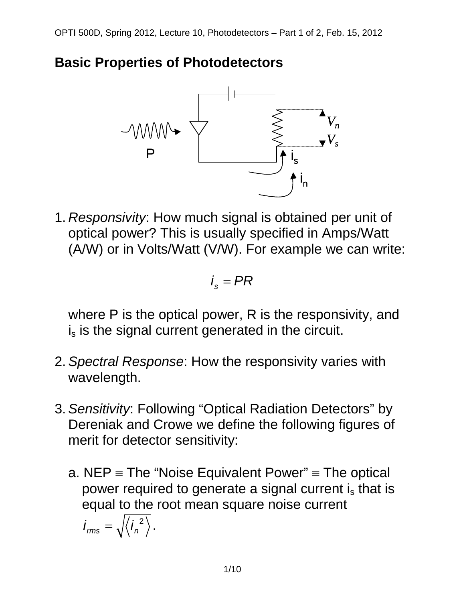



1. *Responsivity*: How much signal is obtained per unit of optical power? This is usually specified in Amps/Watt (A/W) or in Volts/Watt (V/W). For example we can write:

$$
i_{s} = PR
$$

where P is the optical power, R is the responsivity, and  $i<sub>s</sub>$  is the signal current generated in the circuit.

- 2. *Spectral Response*: How the responsivity varies with wavelength.
- 3. *Sensitivity*: Following "Optical Radiation Detectors" by Dereniak and Crowe we define the following figures of merit for detector sensitivity:
	- a. NEP  $\equiv$  The "Noise Equivalent Power"  $\equiv$  The optical power required to generate a signal current is that is equal to the root mean square noise current  $i_{\text{rms}} = \sqrt{\langle i_n^2 \rangle}$ .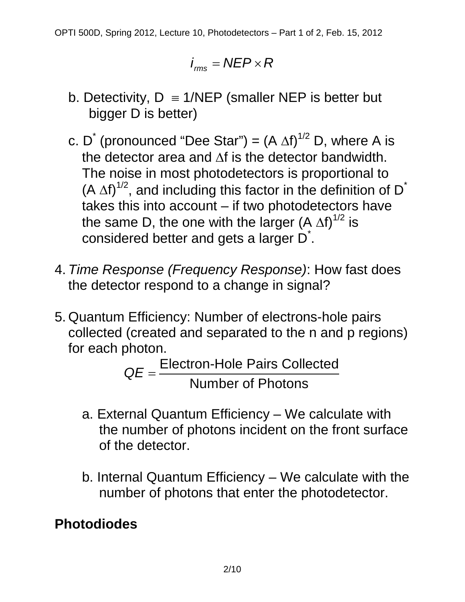$$
i_{\text{rms}} = \text{NEP} \times \text{R}
$$

- b. Detectivity,  $D \equiv 1/\text{NEP}$  (smaller NEP is better but bigger D is better)
- c. D<sup>\*</sup> (pronounced "Dee Star") =  $(A \Delta f)^{1/2}$  D, where A is the detector area and ∆f is the detector bandwidth. The noise in most photodetectors is proportional to (A  $\Delta f$ <sup>1/2</sup>, and including this factor in the definition of D<sup>\*</sup> takes this into account – if two photodetectors have the same D, the one with the larger (A  $\Delta f$ )<sup>1/2</sup> is considered better and gets a larger D<sup>\*</sup>.
- 4. *Time Response (Frequency Response)*: How fast does the detector respond to a change in signal?
- 5. Quantum Efficiency: Number of electrons-hole pairs collected (created and separated to the n and p regions) for each photon.

Electron-Hole Pairs Collected Number of Photons *QE* <sup>=</sup>

- a. External Quantum Efficiency We calculate with the number of photons incident on the front surface of the detector.
- b. Internal Quantum Efficiency We calculate with the number of photons that enter the photodetector.

**Photodiodes**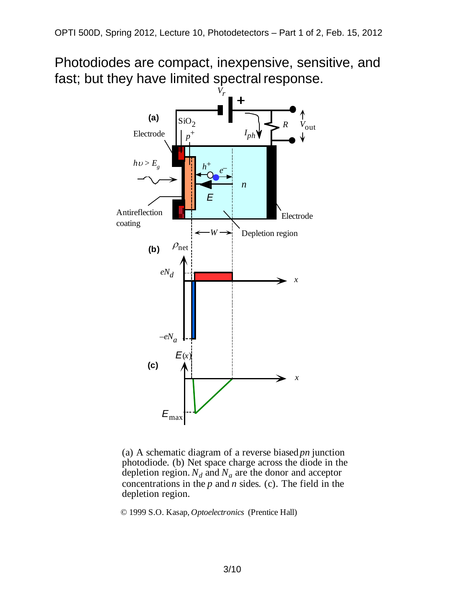Photodiodes are compact, inexpensive, sensitive, and fast; but they have limited spectral response.



(a) A schematic diagram of a reverse biased *pn* junction photodiode. (b) Net space charge across the diode in the depletion region.  $N_d$  and  $N_a$  are the donor and acceptor concentrations in the *p* and *n* sides. (c). The field in the depletion region.

© 1999 S.O. Kasap, *Optoelectronics* (Prentice Hall)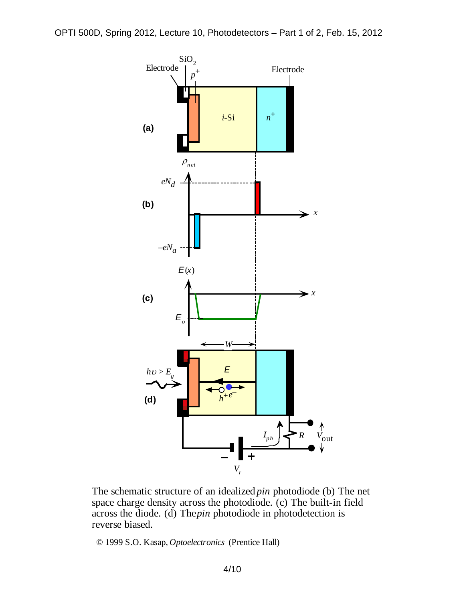

The schematic structure of an idealized *pin* photodiode (b) The net space charge density across the photodiode. (c) The built-in field across the diode. (d) The *pin* photodiode in photodetection is reverse biased.

© 1999 S.O. Kasap, *Optoelectronics* (Prentice Hall)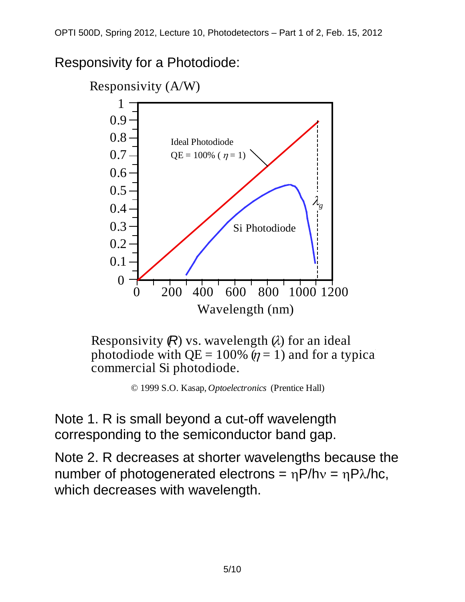Responsivity for a Photodiode:



Responsivity  $(R)$  vs. wavelength  $\alpha$  for an ideal photodiode with  $QE = 100\%$  ( $\eta = 1$ ) and for a typical commercial Si photodiode.

© 1999 S.O. Kasap, *Optoelectronics* (Prentice Hall)

Note 1. R is small beyond a cut-off wavelength corresponding to the semiconductor band gap.

Note 2. R decreases at shorter wavelengths because the number of photogenerated electrons =  $ηP/hv = ηPλ/hc$ , which decreases with wavelength.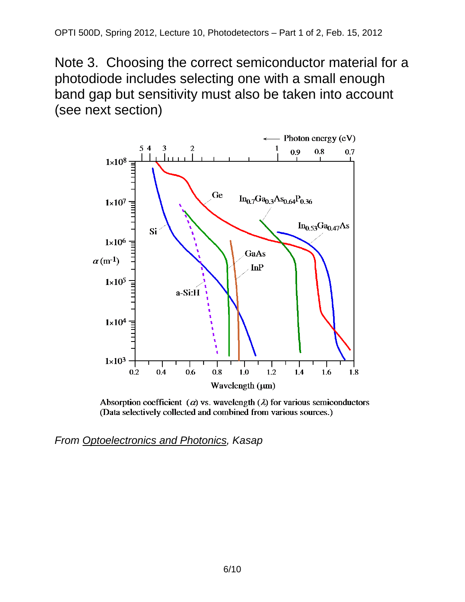Note 3. Choosing the correct semiconductor material for a photodiode includes selecting one with a small enough band gap but sensitivity must also be taken into account (see next section)



Absorption coefficient ( $\alpha$ ) vs. wavelength ( $\lambda$ ) for various semiconductors (Data selectively collected and combined from various sources.)

*From Optoelectronics and Photonics, Kasap*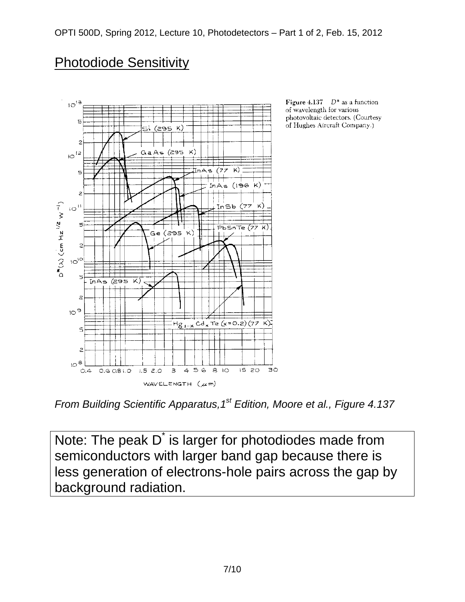## Photodiode Sensitivity



Figure 4.137  $D^*$  as a function of wavelength for various photovoltaic detectors. (Courtesy of Hughes Aircraft Company.)

*From Building Scientific Apparatus,1st Edition, Moore et al., Figure 4.137*

Note: The peak D<sup>\*</sup> is larger for photodiodes made from semiconductors with larger band gap because there is less generation of electrons-hole pairs across the gap by background radiation.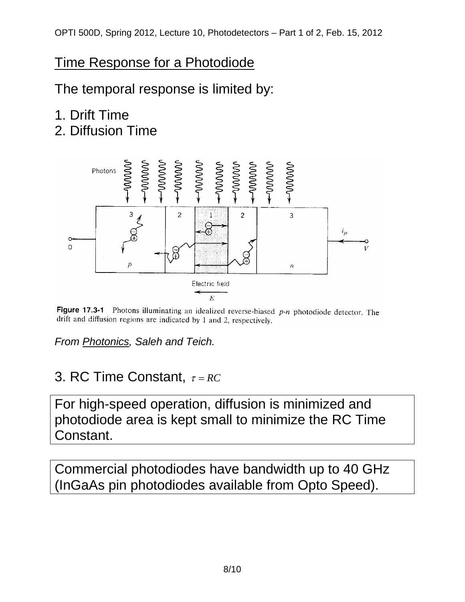## Time Response for a Photodiode

The temporal response is limited by:

# 1. Drift Time

2. Diffusion Time



Figure 17.3-1 Photons illuminating an idealized reverse-biased  $p-n$  photodiode detector. The drift and diffusion regions are indicated by 1 and 2, respectively.

*From Photonics, Saleh and Teich.*

## 3. RC Time Constant, <sup>τ</sup> = *RC*

For high-speed operation, diffusion is minimized and photodiode area is kept small to minimize the RC Time Constant.

Commercial photodiodes have bandwidth up to 40 GHz (InGaAs pin photodiodes available from Opto Speed).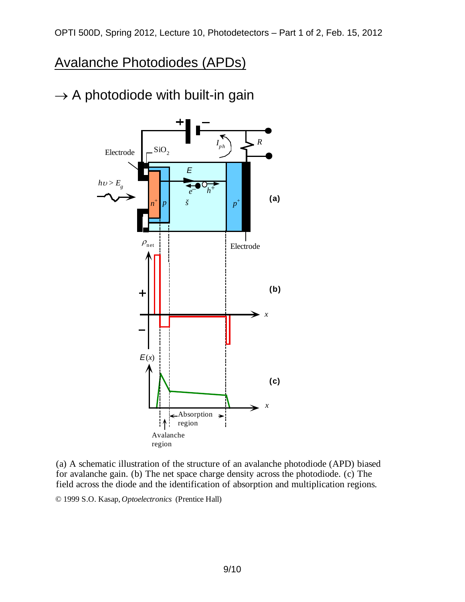#### Avalanche Photodiodes (APDs)







© 1999 S.O. Kasap, *Optoelectronics* (Prentice Hall)